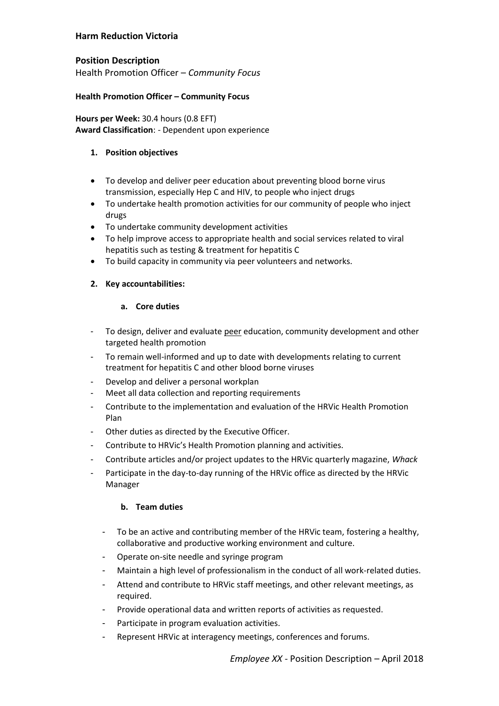# **Harm Reduction Victoria**

# **Position Description**

Health Promotion Officer – *Community Focus*

## **Health Promotion Officer – Community Focus**

**Hours per Week:** 30.4 hours (0.8 EFT) **Award Classification**: - Dependent upon experience

## **1. Position objectives**

- To develop and deliver peer education about preventing blood borne virus transmission, especially Hep C and HIV, to people who inject drugs
- To undertake health promotion activities for our community of people who inject drugs
- To undertake community development activities
- To help improve access to appropriate health and social services related to viral hepatitis such as testing & treatment for hepatitis C
- To build capacity in community via peer volunteers and networks.

## **2. Key accountabilities:**

## **a. Core duties**

- To design, deliver and evaluate peer education, community development and other targeted health promotion
- To remain well-informed and up to date with developments relating to current treatment for hepatitis C and other blood borne viruses
- Develop and deliver a personal workplan
- Meet all data collection and reporting requirements
- Contribute to the implementation and evaluation of the HRVic Health Promotion Plan
- Other duties as directed by the Executive Officer.
- Contribute to HRVic's Health Promotion planning and activities.
- Contribute articles and/or project updates to the HRVic quarterly magazine, *Whack*
- Participate in the day-to-day running of the HRVic office as directed by the HRVic Manager

### **b. Team duties**

- To be an active and contributing member of the HRVic team, fostering a healthy, collaborative and productive working environment and culture.
- Operate on-site needle and syringe program
- Maintain a high level of professionalism in the conduct of all work-related duties.
- Attend and contribute to HRVic staff meetings, and other relevant meetings, as required.
- Provide operational data and written reports of activities as requested.
- Participate in program evaluation activities.
- Represent HRVic at interagency meetings, conferences and forums.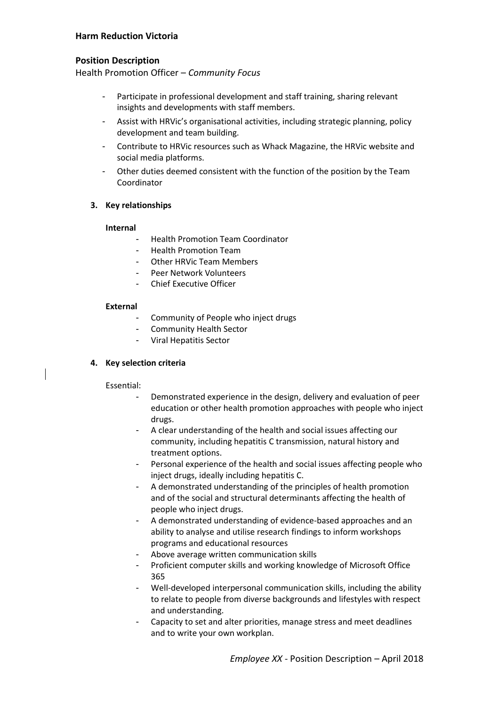# **Harm Reduction Victoria**

## **Position Description**

Health Promotion Officer – *Community Focus*

- Participate in professional development and staff training, sharing relevant insights and developments with staff members.
- Assist with HRVic's organisational activities, including strategic planning, policy development and team building.
- Contribute to HRVic resources such as Whack Magazine, the HRVic website and social media platforms.
- Other duties deemed consistent with the function of the position by the Team Coordinator

### **3. Key relationships**

#### **Internal**

- Health Promotion Team Coordinator
- Health Promotion Team
- Other HRVic Team Members
- Peer Network Volunteers
- Chief Executive Officer

#### **External**

- Community of People who inject drugs
- Community Health Sector
- Viral Hepatitis Sector

### **4. Key selection criteria**

#### Essential:

- Demonstrated experience in the design, delivery and evaluation of peer education or other health promotion approaches with people who inject drugs.
- A clear understanding of the health and social issues affecting our community, including hepatitis C transmission, natural history and treatment options.
- Personal experience of the health and social issues affecting people who inject drugs, ideally including hepatitis C.
- A demonstrated understanding of the principles of health promotion and of the social and structural determinants affecting the health of people who inject drugs.
- A demonstrated understanding of evidence-based approaches and an ability to analyse and utilise research findings to inform workshops programs and educational resources
- Above average written communication skills
- Proficient computer skills and working knowledge of Microsoft Office 365
- Well-developed interpersonal communication skills, including the ability to relate to people from diverse backgrounds and lifestyles with respect and understanding.
- Capacity to set and alter priorities, manage stress and meet deadlines and to write your own workplan.